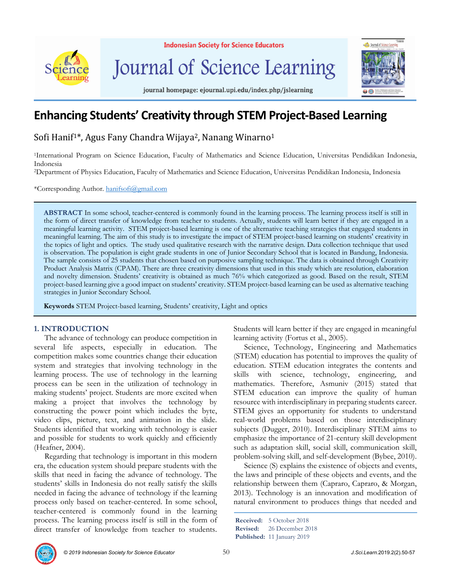

**Indonesian Society for Science Educators** 

# Journal of Science Learning



journal homepage: ejournal.upi.edu/index.php/jslearning

# **Enhancing Students' Creativity through STEM Project-Based Learning**

Sofi Hanif<sup>1\*</sup>, Agus Fany Chandra Wijaya<sup>2</sup>, Nanang Winarno<sup>1</sup>

1International Program on Science Education, Faculty of Mathematics and Science Education, Universitas Pendidikan Indonesia, Indonesia

2Department of Physics Education, Faculty of Mathematics and Science Education, Universitas Pendidikan Indonesia, Indonesia

\*Corresponding Author. hanifsofi@gmail.com

**ABSTRACT** In some school, teacher-centered is commonly found in the learning process. The learning process itself is still in the form of direct transfer of knowledge from teacher to students. Actually, students will learn better if they are engaged in a meaningful learning activity. STEM project-based learning is one of the alternative teaching strategies that engaged students in meaningful learning. The aim of this study is to investigate the impact of STEM project-based learning on students' creativity in the topics of light and optics. The study used qualitative research with the narrative design. Data collection technique that used is observation. The population is eight grade students in one of Junior Secondary School that is located in Bandung, Indonesia. The sample consists of 25 students that chosen based on purposive sampling technique. The data is obtained through Creativity Product Analysis Matrix (CPAM). There are three creativity dimensions that used in this study which are resolution, elaboration and novelty dimension. Students' creativity is obtained as much 76% which categorized as good. Based on the result, STEM project-based learning give a good impact on students' creativity. STEM project-based learning can be used as alternative teaching strategies in Junior Secondary School.

**Keywords** STEM Project-based learning, Students' creativity, Light and optics

# **1. INTRODUCTION**

The advance of technology can produce competition in several life aspects, especially in education. The competition makes some countries change their education system and strategies that involving technology in the learning process. The use of technology in the learning process can be seen in the utilization of technology in making students' project. Students are more excited when making a project that involves the technology by constructing the power point which includes the byte, video clips, picture, text, and animation in the slide. Students identified that working with technology is easier and possible for students to work quickly and efficiently (Heafner, 2004).

Regarding that technology is important in this modern era, the education system should prepare students with the skills that need in facing the advance of technology. The students' skills in Indonesia do not really satisfy the skills needed in facing the advance of technology if the learning process only based on teacher-centered. In some school, teacher-centered is commonly found in the learning process. The learning process itself is still in the form of direct transfer of knowledge from teacher to students.

Students will learn better if they are engaged in meaningful learning activity (Fortus et al., 2005).

Science, Technology, Engineering and Mathematics (STEM) education has potential to improves the quality of education. STEM education integrates the contents and skills with science, technology, engineering, and mathematics. Therefore, Asmuniv (2015) stated that STEM education can improve the quality of human resource with interdisciplinary in preparing students career. STEM gives an opportunity for students to understand real-world problems based on those interdisciplinary subjects (Dugger, 2010). Interdisciplinary STEM aims to emphasize the importance of 21-century skill development such as adaptation skill, social skill, communication skill, problem-solving skill, and self-development (Bybee, 2010).

Science (S) explains the existence of objects and events, the laws and principle of these objects and events, and the relationship between them (Capraro, Capraro, & Morgan, 2013). Technology is an innovation and modification of natural environment to produces things that needed and

**Received:** 5 October 2018 **Revised:** 26 December 2018 **Published:** 11 January 2019

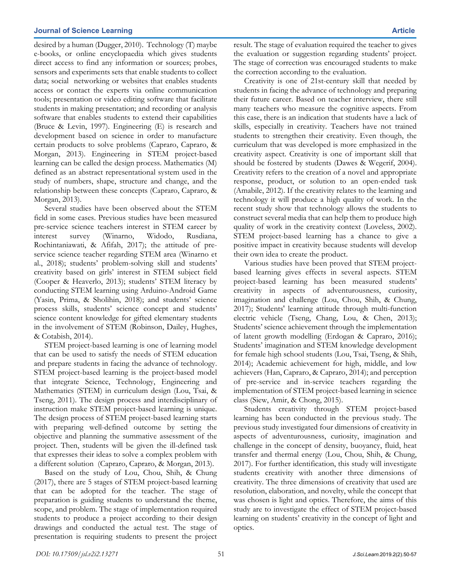desired by a human (Dugger, 2010). Technology (T) maybe e-books, or online encyclopaedia which gives students direct access to find any information or sources; probes, sensors and experiments sets that enable students to collect data; social networking or websites that enables students access or contact the experts via online communication tools; presentation or video editing software that facilitate students in making presentation; and recording or analysis software that enables students to extend their capabilities (Bruce & Levin, 1997). Engineering (E) is research and development based on science in order to manufacture certain products to solve problems (Capraro, Capraro, & Morgan, 2013). Engineering in STEM project-based learning can be called the design process. Mathematics (M) defined as an abstract representational system used in the study of numbers, shape, structure and change, and the relationship between these concepts (Capraro, Capraro, & Morgan, 2013).

Several studies have been observed about the STEM field in some cases. Previous studies have been measured pre-service science teachers interest in STEM career by interest survey (Winarno, Widodo, Rusdiana, Rochintaniawati, & Afifah, 2017); the attitude of preservice science teacher regarding STEM area (Winarno et al., 2018); students' problem-solving skill and students' creativity based on girls' interest in STEM subject field (Cooper & Heaverlo, 2013); students' STEM literacy by conducting STEM learning using Arduino-Android Game (Yasin, Prima, & Sholihin, 2018); and students' science process skills, students' science concept and students' science content knowledge for gifted elementary students in the involvement of STEM (Robinson, Dailey, Hughes, & Cotabish, 2014).

STEM project-based learning is one of learning model that can be used to satisfy the needs of STEM education and prepare students in facing the advance of technology. STEM project-based learning is the project-based model that integrate Science, Technology, Engineering and Mathematics (STEM) in curriculum design (Lou, Tsai, & Tseng, 2011). The design process and interdisciplinary of instruction make STEM project-based learning is unique. The design process of STEM project-based learning starts with preparing well-defined outcome by setting the objective and planning the summative assessment of the project. Then, students will be given the ill-defined task that expresses their ideas to solve a complex problem with a different solution (Capraro, Capraro, & Morgan, 2013).

Based on the study of Lou, Chou, Shih, & Chung (2017), there are 5 stages of STEM project-based learning that can be adopted for the teacher. The stage of preparation is guiding students to understand the theme, scope, and problem. The stage of implementation required students to produce a project according to their design drawings and conducted the actual test. The stage of presentation is requiring students to present the project

result. The stage of evaluation required the teacher to gives the evaluation or suggestion regarding students' project. The stage of correction was encouraged students to make the correction according to the evaluation.

Creativity is one of 21st-century skill that needed by students in facing the advance of technology and preparing their future career. Based on teacher interview, there still many teachers who measure the cognitive aspects. From this case, there is an indication that students have a lack of skills, especially in creativity. Teachers have not trained students to strengthen their creativity. Even though, the curriculum that was developed is more emphasized in the creativity aspect. Creativity is one of important skill that should be fostered by students (Dawes & Wegerif, 2004). Creativity refers to the creation of a novel and appropriate response, product, or solution to an open-ended task (Amabile, 2012). If the creativity relates to the learning and technology it will produce a high quality of work. In the recent study show that technology allows the students to construct several media that can help them to produce high quality of work in the creativity context (Loveless, 2002). STEM project-based learning has a chance to give a positive impact in creativity because students will develop their own idea to create the product.

Various studies have been proved that STEM projectbased learning gives effects in several aspects. STEM project-based learning has been measured students' creativity in aspects of adventurousness, curiosity, imagination and challenge (Lou, Chou, Shih, & Chung, 2017); Students' learning attitude through multi-function electric vehicle (Tseng, Chang, Lou, & Chen, 2013); Students' science achievement through the implementation of latent growth modelling (Erdogan & Capraro, 2016); Students' imagination and STEM knowledge development for female high school students (Lou, Tsai, Tseng, & Shih, 2014); Academic achievement for high, middle, and low achievers (Han, Capraro, & Capraro, 2014); and perception of pre-service and in-service teachers regarding the implementation of STEM project-based learning in science class (Siew, Amir, & Chong, 2015).

Students creativity through STEM project-based learning has been conducted in the previous study. The previous study investigated four dimensions of creativity in aspects of adventurousness, curiosity, imagination and challenge in the concept of density, buoyancy, fluid, heat transfer and thermal energy (Lou, Chou, Shih, & Chung, 2017). For further identification, this study will investigate students creativity with another three dimensions of creativity. The three dimensions of creativity that used are resolution, elaboration, and novelty, while the concept that was chosen is light and optics. Therefore, the aims of this study are to investigate the effect of STEM project-based learning on students' creativity in the concept of light and optics.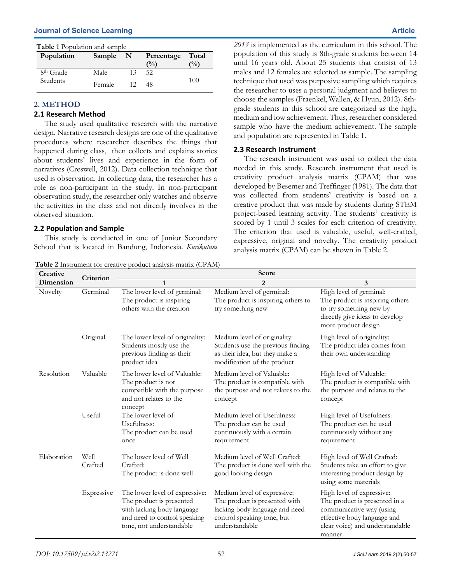| Table 1 Population and sample |  |
|-------------------------------|--|
|-------------------------------|--|

| Population            | Sample | N  | Percentage     | Total          |
|-----------------------|--------|----|----------------|----------------|
|                       |        |    | $\binom{0}{0}$ | $\frac{10}{6}$ |
| 8 <sup>th</sup> Grade | Male   | 13 | 52             |                |
| Students              | Female |    | 48             | 100            |

## **2. METHOD**

### **2.1 Research Method**

The study used qualitative research with the narrative design. Narrative research designs are one of the qualitative procedures where researcher describes the things that happened during class, then collects and explains stories about students' lives and experience in the form of narratives (Creswell, 2012). Data collection technique that used is observation. In collecting data, the researcher has a role as non-participant in the study. In non-participant observation study, the researcher only watches and observe the activities in the class and not directly involves in the observed situation.

# **2.2 Population and Sample**

This study is conducted in one of Junior Secondary School that is located in Bandung, Indonesia. *Kurikulum* 

**Table 2** Instrument for creative product analysis matrix (CPAM)

*2013* is implemented as the curriculum in this school. The population of this study is 8th-grade students between 14 until 16 years old. About 25 students that consist of 13 males and 12 females are selected as sample. The sampling technique that used was purposive sampling which requires the researcher to uses a personal judgment and believes to choose the samples (Fraenkel, Wallen, & Hyun, 2012). 8thgrade students in this school are categorized as the high, medium and low achievement. Thus, researcher considered sample who have the medium achievement. The sample and population are represented in Table 1.

# **2.3 Research Instrument**

The research instrument was used to collect the data needed in this study. Research instrument that used is creativity product analysis matrix (CPAM) that was developed by Besemer and Treffinger (1981). The data that was collected from students' creativity is based on a creative product that was made by students during STEM project-based learning activity. The students' creativity is scored by 1 until 3 scales for each criterion of creativity. The criterion that used is valuable, useful, well-crafted, expressive, original and novelty. The creativity product analysis matrix (CPAM) can be shown in Table 2.

| Creative               |                 | $\mu$ and $\mu$ interference of $\mu$ elements produce and $\mu$ on matrix (see Fig.<br><b>Score</b>                                                 |                                                                                                                                                |                                                                                                                                                                    |  |  |  |  |  |
|------------------------|-----------------|------------------------------------------------------------------------------------------------------------------------------------------------------|------------------------------------------------------------------------------------------------------------------------------------------------|--------------------------------------------------------------------------------------------------------------------------------------------------------------------|--|--|--|--|--|
| Dimension              | Criterion       | $\mathbf{1}$                                                                                                                                         | $\overline{2}$                                                                                                                                 | 3                                                                                                                                                                  |  |  |  |  |  |
| Novelty                | Germinal        | The lower level of germinal:<br>The product is inspiring<br>others with the creation                                                                 | Medium level of germinal:<br>The product is inspiring others to<br>try something new                                                           | High level of germinal:<br>The product is inspiring others<br>to try something new by<br>directly give ideas to develop<br>more product design                     |  |  |  |  |  |
|                        | Original        | The lower level of originality:<br>Students mostly use the<br>previous finding as their<br>product idea                                              | Medium level of originality:<br>Students use the previous finding<br>as their idea, but they make a<br>modification of the product             | High level of originality:<br>The product idea comes from<br>their own understanding                                                                               |  |  |  |  |  |
| Resolution<br>Valuable |                 | The lower level of Valuable:<br>The product is not<br>compatible with the purpose<br>and not relates to the<br>concept                               | Medium level of Valuable:<br>The product is compatible with<br>the purpose and not relates to the<br>concept                                   | High level of Valuable:<br>The product is compatible with<br>the purpose and relates to the<br>concept                                                             |  |  |  |  |  |
|                        | Useful          | The lower level of<br>Usefulness:<br>The product can be used<br>once                                                                                 | Medium level of Usefulness:<br>The product can be used<br>continuously with a certain<br>requirement                                           | High level of Usefulness:<br>The product can be used<br>continuously without any<br>requirement                                                                    |  |  |  |  |  |
| Elaboration            | Well<br>Crafted | The lower level of Well<br>Crafted:<br>The product is done well                                                                                      | Medium level of Well Crafted:<br>The product is done well with the<br>good looking design                                                      | High level of Well Crafted:<br>Students take an effort to give<br>interesting product design by<br>using some materials                                            |  |  |  |  |  |
|                        | Expressive      | The lower level of expressive:<br>The product is presented<br>with lacking body language<br>and need to control speaking<br>tone, not understandable | Medium level of expressive:<br>The product is presented with<br>lacking body language and need<br>control speaking tone, but<br>understandable | High level of expressive:<br>The product is presented in a<br>communicative way (using<br>effective body language and<br>clear voice) and understandable<br>manner |  |  |  |  |  |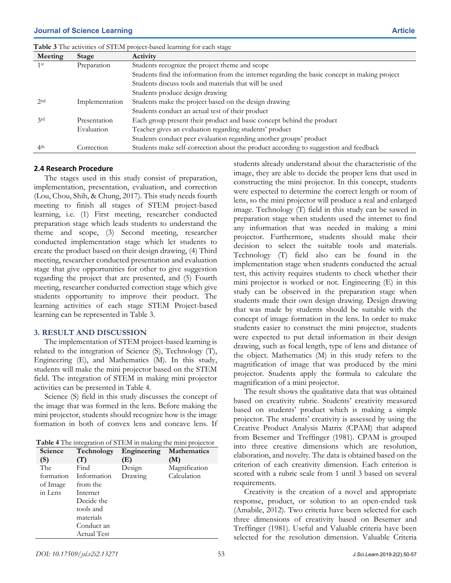| Meeting         | Stage          | Activity                                                                                      |
|-----------------|----------------|-----------------------------------------------------------------------------------------------|
| $1$ st          | Preparation    | Students recognize the project theme and scope                                                |
|                 |                | Students find the information from the internet regarding the basic concept in making project |
|                 |                | Students discuss tools and materials that will be used                                        |
|                 |                | Students produce design drawing                                                               |
| 2nd             | Implementation | Students make the project based on the design drawing                                         |
|                 |                | Students conduct an actual test of their product                                              |
| 3rd             | Presentation   | Each group present their product and basic concept behind the product                         |
|                 | Evaluation     | Teacher gives an evaluation regarding students' product                                       |
|                 |                | Students conduct peer evaluation regarding another groups' product                            |
| 4 <sup>th</sup> | Correction     | Students make self-correction about the product according to suggestion and feedback          |

**Table 3** The activities of STEM project-based learning for each stage

#### **2.4 Research Procedure**

The stages used in this study consist of preparation, implementation, presentation, evaluation, and correction (Lou, Chou, Shih, & Chung, 2017). This study needs fourth meeting to finish all stages of STEM project-based learning, i.e. (1) First meeting, researcher conducted preparation stage which leads students to understand the theme and scope, (3) Second meeting, researcher conducted implementation stage which let students to create the product based on their design drawing, (4) Third meeting, researcher conducted presentation and evaluation stage that give opportunities for other to give suggestion regarding the project that are presented, and (5) Fourth meeting, researcher conducted correction stage which give students opportunity to improve their product. The learning activities of each stage STEM Project-based learning can be represented in Table 3.

#### **3. RESULT AND DISCUSSION**

The implementation of STEM project-based learning is related to the integration of Science (S), Technology (T), Engineering (E), and Mathematics (M). In this study, students will make the mini projector based on the STEM field. The integration of STEM in making mini projector activities can be presented in Table 4.

Science (S) field in this study discusses the concept of the image that was formed in the lens. Before making the mini projector, students should recognize how is the image formation in both of convex lens and concave lens. If

**Table 4** The integration of STEM in making the mini projector

| Science   | Technology  | Engineering | <b>Mathematics</b> |
|-----------|-------------|-------------|--------------------|
| (S)       | (T)         | (E)         | (M)                |
| The       | Find        | Design      | Magnification      |
| formation | Information | Drawing     | Calculation        |
| of Image  | from the    |             |                    |
| in Lens   | Internet    |             |                    |
|           | Decide the  |             |                    |
|           | tools and   |             |                    |
|           | materials   |             |                    |
|           | Conduct an  |             |                    |
|           | Actual Test |             |                    |

students already understand about the characteristic of the image, they are able to decide the proper lens that used in constructing the mini projector. In this concept, students were expected to determine the correct length or room of lens, so the mini projector will produce a real and enlarged image. Technology (T) field in this study can be sawed in preparation stage when students used the internet to find any information that was needed in making a mini projector. Furthermore, students should make their decision to select the suitable tools and materials. Technology (T) field also can be found in the implementation stage when students conducted the actual test, this activity requires students to check whether their mini projector is worked or not. Engineering (E) in this study can be observed in the preparation stage when students made their own design drawing. Design drawing that was made by students should be suitable with the concept of image formation in the lens. In order to make students easier to construct the mini projector, students were expected to put detail information in their design drawing, such as focal length, type of lens and distance of the object. Mathematics (M) in this study refers to the magnification of image that was produced by the mini projector. Students apply the formula to calculate the magnification of a mini projector.

The result shows the qualitative data that was obtained based on creativity rubric. Students' creativity measured based on students' product which is making a simple projector. The students' creativity is assessed by using the Creative Product Analysis Matrix (CPAM) that adapted from Besemer and Treffinger (1981). CPAM is grouped into three creative dimensions which are resolution, elaboration, and novelty. The data is obtained based on the criterion of each creativity dimension. Each criterion is scored with a rubric scale from 1 until 3 based on several requirements.

Creativity is the creation of a novel and appropriate response, product, or solution to an open-ended task (Amabile, 2012). Two criteria have been selected for each three dimensions of creativity based on Besemer and Treffinger (1981). Useful and Valuable criteria have been selected for the resolution dimension. Valuable Criteria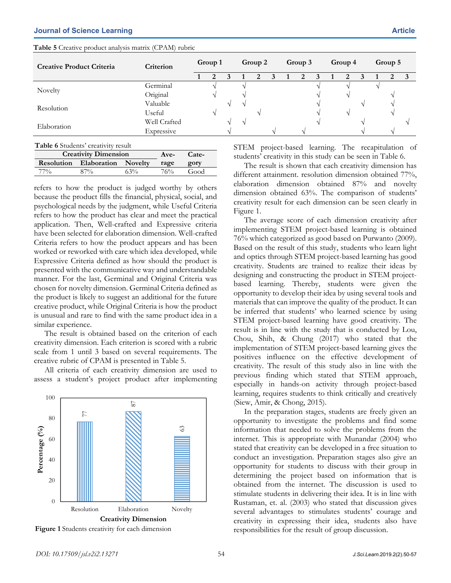| <b>Creative Product Criteria</b> | Criterion    |  | Group 1 |  | Group 2 |                |          | Group 3 |   |   | Group 4 |  | Group 5 |  |   |  |
|----------------------------------|--------------|--|---------|--|---------|----------------|----------|---------|---|---|---------|--|---------|--|---|--|
|                                  |              |  | 2       |  |         | $\mathfrak{D}$ |          |         | 2 | 3 |         |  |         |  | 2 |  |
|                                  | Germinal     |  |         |  |         |                |          |         |   |   |         |  |         |  |   |  |
| Novelty                          | Original     |  |         |  |         |                |          |         |   |   |         |  |         |  |   |  |
| Resolution                       | Valuable     |  |         |  |         |                |          |         |   |   |         |  |         |  |   |  |
|                                  | Useful       |  |         |  |         |                |          |         |   |   |         |  |         |  |   |  |
|                                  | Well Crafted |  |         |  |         |                |          |         |   |   |         |  |         |  |   |  |
| Elaboration                      | Expressive   |  |         |  |         |                | $\Delta$ |         |   |   |         |  |         |  |   |  |

|  | Table 5 Creative product analysis matrix (CPAM) rubric |  |  |
|--|--------------------------------------------------------|--|--|
|--|--------------------------------------------------------|--|--|

**Table 6** Students' creativity result

| <b>Creativity Dimension</b> | Ave-                           | Cate-  |      |      |
|-----------------------------|--------------------------------|--------|------|------|
|                             | Resolution Elaboration Novelty | rage   | gory |      |
| $77\%$                      | $87\%$                         | $63\%$ | 76%  | Good |

refers to how the product is judged worthy by others because the product fills the financial, physical, social, and psychological needs by the judgment, while Useful Criteria refers to how the product has clear and meet the practical application. Then, Well-crafted and Expressive criteria have been selected for elaboration dimension. Well-crafted Criteria refers to how the product appears and has been worked or reworked with care which idea developed, while Expressive Criteria defined as how should the product is presented with the communicative way and understandable manner. For the last, Germinal and Original Criteria was chosen for novelty dimension. Germinal Criteria defined as the product is likely to suggest an additional for the future creative product, while Original Criteria is how the product is unusual and rare to find with the same product idea in a similar experience.

The result is obtained based on the criterion of each creativity dimension. Each criterion is scored with a rubric scale from 1 until 3 based on several requirements. The creative rubric of CPAM is presented in Table 5.

All criteria of each creativity dimension are used to assess a student's project product after implementing





STEM project-based learning. The recapitulation of students' creativity in this study can be seen in Table 6.

The result is shown that each creativity dimension has different attainment. resolution dimension obtained 77%, elaboration dimension obtained 87% and novelty dimension obtained 63%. The comparison of students' creativity result for each dimension can be seen clearly in Figure 1.

The average score of each dimension creativity after implementing STEM project-based learning is obtained 76% which categorized as good based on Purwanto (2009). Based on the result of this study, students who learn light and optics through STEM project-based learning has good creativity. Students are trained to realize their ideas by designing and constructing the product in STEM projectbased learning. Thereby, students were given the opportunity to develop their idea by using several tools and materials that can improve the quality of the product. It can be inferred that students' who learned science by using STEM project-based learning have good creativity. The result is in line with the study that is conducted by Lou, Chou, Shih, & Chung (2017) who stated that the implementation of STEM project-based learning gives the positives influence on the effective development of creativity. The result of this study also in line with the previous finding which stated that STEM approach, especially in hands-on activity through project-based learning, requires students to think critically and creatively (Siew, Amir, & Chong, 2015).

In the preparation stages, students are freely given an opportunity to investigate the problems and find some information that needed to solve the problems from the internet. This is appropriate with Munandar (2004) who stated that creativity can be developed in a free situation to conduct an investigation. Preparation stages also give an opportunity for students to discuss with their group in determining the project based on information that is obtained from the internet. The discussion is used to stimulate students in delivering their idea. It is in line with Rustaman, et. al. (2003) who stated that discussion gives several advantages to stimulates students' courage and creativity in expressing their idea, students also have responsibilities for the result of group discussion.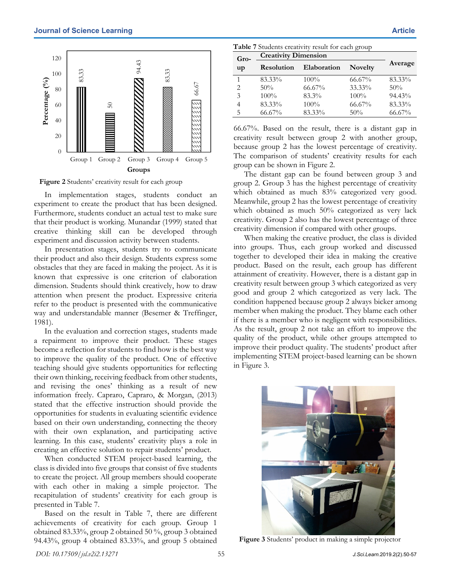

In implementation stages, students conduct an experiment to create the product that has been designed. Furthermore, students conduct an actual test to make sure that their product is working. Munandar (1999) stated that creative thinking skill can be developed through experiment and discussion activity between students.

In presentation stages, students try to communicate their product and also their design. Students express some obstacles that they are faced in making the project. As it is known that expressive is one criterion of elaboration dimension. Students should think creatively, how to draw attention when present the product. Expressive criteria refer to the product is presented with the communicative way and understandable manner (Besemer & Treffinger, 1981).

In the evaluation and correction stages, students made a repairment to improve their product. These stages become a reflection for students to find how is the best way to improve the quality of the product. One of effective teaching should give students opportunities for reflecting their own thinking, receiving feedback from other students, and revising the ones' thinking as a result of new information freely. Capraro, Capraro, & Morgan, (2013) stated that the effective instruction should provide the opportunities for students in evaluating scientific evidence based on their own understanding, connecting the theory with their own explanation, and participating active learning. In this case, students' creativity plays a role in creating an effective solution to repair students' product.

When conducted STEM project-based learning, the class is divided into five groups that consist of five students to create the project. All group members should cooperate with each other in making a simple projector. The recapitulation of students' creativity for each group is presented in Table 7.

Based on the result in Table 7, there are different achievements of creativity for each group. Group 1 obtained 83.33%, group 2 obtained 50 %, group 3 obtained 94.43%, group 4 obtained 83.33%, and group 5 obtained

| <b>Table 7</b> Students creativity result for each group |                             |             |                |         |  |  |  |  |
|----------------------------------------------------------|-----------------------------|-------------|----------------|---------|--|--|--|--|
| Gro-                                                     | <b>Creativity Dimension</b> |             |                |         |  |  |  |  |
| up                                                       | Resolution                  | Elaboration | <b>Novelty</b> | Average |  |  |  |  |
|                                                          | 83.33%                      | 100%        | 66.67%         | 83.33%  |  |  |  |  |
| $\mathfrak{D}_{\mathfrak{p}}$                            | 50%                         | 66.67%      | 33.33%         | 50%     |  |  |  |  |
| 3                                                        | 100%                        | 83.3%       | 100%           | 94.43%  |  |  |  |  |
| 4                                                        | 83.33%                      | 100%        | 66.67%         | 83.33%  |  |  |  |  |
| 5                                                        | 66.67%                      | 83.33%      | 50%            | 66.67%  |  |  |  |  |

66.67%. Based on the result, there is a distant gap in creativity result between group 2 with another group, because group 2 has the lowest percentage of creativity. The comparison of students' creativity results for each group can be shown in Figure 2.

The distant gap can be found between group 3 and group 2. Group 3 has the highest percentage of creativity which obtained as much 83% categorized very good. Meanwhile, group 2 has the lowest percentage of creativity which obtained as much 50% categorized as very lack creativity. Group 2 also has the lowest percentage of three creativity dimension if compared with other groups.

When making the creative product, the class is divided into groups. Thus, each group worked and discussed together to developed their idea in making the creative product. Based on the result, each group has different attainment of creativity. However, there is a distant gap in creativity result between group 3 which categorized as very good and group 2 which categorized as very lack. The condition happened because group 2 always bicker among member when making the product. They blame each other if there is a member who is negligent with responsibilities. As the result, group 2 not take an effort to improve the quality of the product, while other groups attempted to improve their product quality. The students' product after implementing STEM project-based learning can be shown in Figure 3.



**Figure 3** Students' product in making a simple projector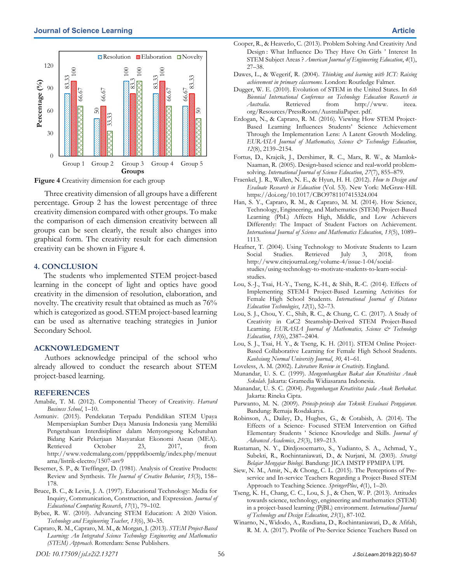

Three creativity dimension of all groups have a different percentage. Group 2 has the lowest percentage of three creativity dimension compared with other groups. To make the comparison of each dimension creativity between all groups can be seen clearly, the result also changes into graphical form. The creativity result for each dimension creativity can be shown in Figure 4.

#### **4. CONCLUSION**

The students who implemented STEM project-based learning in the concept of light and optics have good creativity in the dimension of resolution, elaboration, and novelty. The creativity result that obtained as much as 76% which is categorized as good. STEM project-based learning can be used as alternative teaching strategies in Junior Secondary School.

#### **ACKNOWLEDGMENT**

Authors acknowledge principal of the school who already allowed to conduct the research about STEM project-based learning.

#### **REFERENCES**

- Amabile, T. M. (2012). Componential Theory of Creativity. *Harvard Business School*, 1–10.
- Asmuniv. (2015). Pendekatan Terpadu Pendidikan STEM Upaya Mempersiapkan Sumber Daya Manusia Indonesia yang Memiliki Pengetahuan Interdisipliner dalam Menyongsong Kebutuhan Bidang Karir Pekerjaan Masyarakat Ekonomi Asean (MEA). Retrieved October 23, 2017, from http://www.vedcmalang.com/pppptkboemlg/index.php/menuut ama/listrik-electro/1507-asv9
- Besemer, S. P., & Treffinger, D. (1981). Analysis of Creative Products: Review and Synthesis. *The Journal of Creative Behavior*, *15*(3), 158– 178.
- Bruce, B. C., & Levin, J. A. (1997). Educational Technology: Media for Inquiry, Communication, Construction, and Expression. *Journal of Educational Computing Research*, *17*(1), 79–102.
- Bybee, R. W. (2010). Advancing STEM Education: A 2020 Vision. *Technology and Engineering Teacher*, *13*(6), 30–35.
- Capraro, R. M., Capraro, M. M., & Morgan, J. (2013). *STEM Project-Based Learning: An Integrated Science Technology Engineering and Mathematics (STEM) Approach*. Rotterdam: Sense Publishers.
- Cooper, R., & Heaverlo, C. (2013). Problem Solving And Creativity And Design : What Influence Do They Have On Girls ' Interest In STEM Subject Areas ? *American Journal of Engineering Education*, *4*(1), 27–38.
- Dawes, L., & Wegerif, R. (2004). *Thinking and learning with ICT: Raising achievement in primary classrooms*. London: Routledge Falmer.
- Dugger, W. E. (2010). Evolution of STEM in the United States. In *6th Biennial International Conference on Technology Education Research in Australia*. Retrieved from http://www. iteea. org/Resources/PressRoom/AustraliaPaper. pdf.
- Erdogan, N., & Capraro, R. M. (2016). Viewing How STEM Project-Based Learning Influences Students' Science Achievement Through the Implementation Lens: A Latent Growth Modeling. *EURASIA Journal of Mathematics, Science & Technology Education*, *12*(8), 2139–2154.
- Fortus, D., Krajcik, J., Dershimer, R. C., Marx, R. W., & Mamlok‐ Naaman, R. (2005). Design-based science and real-world problemsolving. *International Journal of Science Education*, *27*(7), 855–879.
- Fraenkel, J. R., Wallen, N. E., & Hyun, H. H. (2012). *How to Design and Evaluate Research in Education* (Vol. 53). New York: McGraw-Hill. https://doi.org/10.1017/CBO9781107415324.004
- Han, S. Y., Capraro, R. M., & Capraro, M. M. (2014). How Science, Technology, Engineering, and Mathematics (STEM) Project-Based Learning (PbL) Affects High, Middle, and Low Achievers Differently: The Impact of Student Factors on Achievement. *International Journal of Science and Mathematics Education*, *13*(5), 1089– 1113.
- Heafner, T. (2004). Using Technology to Motivate Students to Learn Social Studies. Retrieved July 3, 2018, from http://www.citejournal.org/volume-4/issue-1-04/socialstudies/using-technology-to-motivate-students-to-learn-socialstudies.
- Lou, S.-J., Tsai, H.-Y., Tseng, K.-H., & Shih, R.-C. (2014). Effects of Implementing STEM-I Project-Based Learning Activities for Female High School Students. *International Journal of Distance Education Technologies*, *12*(1), 52–73.
- Lou, S. J., Chou, Y. C., Shih, R. C., & Chung, C. C. (2017). A Study of Creativity in CaC2 Steamship-Derived STEM Project-Based Learning. *EURASIA Journal of Mathematics, Science & Technology Education*, *13*(6), 2387–2404.
- Lou, S. J., Tsai, H. Y., & Tseng, K. H. (2011). STEM Online Project-Based Collaborative Learning for Female High School Students. *Kaohsiung Normal University Journal*, *30*, 41–61.
- Loveless, A. M. (2002). *Literature Review in Creativity*. England.
- Munandar, U. S. C. (1999). *Mengembangkan Bakat dan Kreativitas Anak Sekolah*. Jakarta: Gramedia Widiasarana Indonesia.
- Munandar, U. S. C. (2004). *Pengembangan Kreativitas pada Anak Berbakat*. Jakarta: Rineka Cipta.
- Purwanto, M. N. (2009). *Prinsip-prinsip dan Teknik Evaluasi Pengajaran*. Bandung: Remaja Rosdakarya.
- Robinson, A., Dailey, D., Hughes, G., & Cotabish, A. (2014). The Effects of a Science- Focused STEM Intervention on Gifted Elementary Students ' Science Knowledge and Skills. *Journal of Advanced Academics*, *25*(3), 189–213.
- Rustaman, N. Y., Dirdjosoemarto, S., Yudianto, S. A., Achmad, Y., Subekti, R., Rochintaniawati, D., & Nurjani, M. (2003). *Strategi Belajar Mengajar Biologi*. Bandung: JICA IMSTP FPMIPA UPI.
- Siew, N. M., Amir, N., & Chong, C. L. (2015). The Perceptions of Preservice and In-service Teachers Regarding a Project-Based STEM Approach to Teaching Science. *SpringerPlus*, *4*(1), 1–20.
- Tseng, K. H., Chang, C. C., Lou, S. J., & Chen, W. P. (2013). Attitudes towards science, technology, engineering and mathematics (STEM) in a project-based learning (PjBL) environment. *International Journal of Technology and Design Education*, *23*(1), 87-102.
- Winarno, N., Widodo, A., Rusdiana, D., Rochintaniawati, D., & Afifah, R. M. A. (2017). Profile of Pre-Service Science Teachers Based on